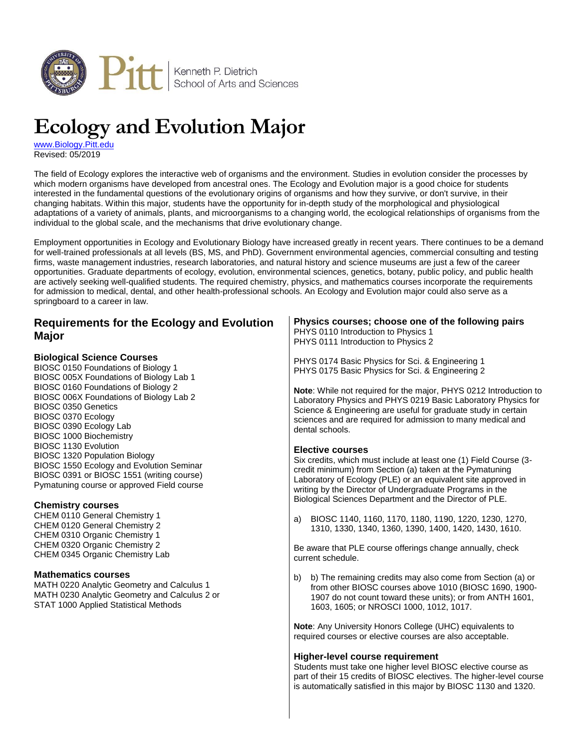

# **Ecology and Evolution Major**

[www.Biology.Pitt.edu](http://www.biology.pitt.edu/) Revised: 05/2019

The field of Ecology explores the interactive web of organisms and the environment. Studies in evolution consider the processes by which modern organisms have developed from ancestral ones. The Ecology and Evolution major is a good choice for students interested in the fundamental questions of the evolutionary origins of organisms and how they survive, or don't survive, in their changing habitats. Within this major, students have the opportunity for in-depth study of the morphological and physiological adaptations of a variety of animals, plants, and microorganisms to a changing world, the ecological relationships of organisms from the individual to the global scale, and the mechanisms that drive evolutionary change.

Employment opportunities in Ecology and Evolutionary Biology have increased greatly in recent years. There continues to be a demand for well-trained professionals at all levels (BS, MS, and PhD). Government environmental agencies, commercial consulting and testing firms, waste management industries, research laboratories, and natural history and science museums are just a few of the career opportunities. Graduate departments of ecology, evolution, environmental sciences, genetics, botany, public policy, and public health are actively seeking well-qualified students. The required chemistry, physics, and mathematics courses incorporate the requirements for admission to medical, dental, and other health-professional schools. An Ecology and Evolution major could also serve as a springboard to a career in law.

| <b>Requirements for the Ecology and Evolution</b><br>Major                                                                                                                                                                                                                                                                                                                                     | Physics courses; choose one of the following pairs<br>PHYS 0110 Introduction to Physics 1<br>PHYS 0111 Introduction to Physics 2                                                                                                                                                                                                                 |  |  |
|------------------------------------------------------------------------------------------------------------------------------------------------------------------------------------------------------------------------------------------------------------------------------------------------------------------------------------------------------------------------------------------------|--------------------------------------------------------------------------------------------------------------------------------------------------------------------------------------------------------------------------------------------------------------------------------------------------------------------------------------------------|--|--|
| <b>Biological Science Courses</b><br>BIOSC 0150 Foundations of Biology 1<br>BIOSC 005X Foundations of Biology Lab 1                                                                                                                                                                                                                                                                            | PHYS 0174 Basic Physics for Sci. & Engineering 1<br>PHYS 0175 Basic Physics for Sci. & Engineering 2                                                                                                                                                                                                                                             |  |  |
| BIOSC 0160 Foundations of Biology 2<br>BIOSC 006X Foundations of Biology Lab 2<br>BIOSC 0350 Genetics<br>BIOSC 0370 Ecology<br>BIOSC 0390 Ecology Lab<br><b>BIOSC 1000 Biochemistry</b><br>BIOSC 1130 Evolution<br><b>BIOSC 1320 Population Biology</b><br>BIOSC 1550 Ecology and Evolution Seminar<br>BIOSC 0391 or BIOSC 1551 (writing course)<br>Pymatuning course or approved Field course | Note: While not required for the major, PHYS 0212 Introduction to<br>Laboratory Physics and PHYS 0219 Basic Laboratory Physics for<br>Science & Engineering are useful for graduate study in certain<br>sciences and are required for admission to many medical and<br>dental schools.                                                           |  |  |
|                                                                                                                                                                                                                                                                                                                                                                                                | <b>Elective courses</b><br>Six credits, which must include at least one (1) Field Course (3-<br>credit minimum) from Section (a) taken at the Pymatuning<br>Laboratory of Ecology (PLE) or an equivalent site approved in<br>writing by the Director of Undergraduate Programs in the<br>Biological Sciences Department and the Director of PLE. |  |  |
| <b>Chemistry courses</b><br>CHEM 0110 General Chemistry 1<br>CHEM 0120 General Chemistry 2<br>CHEM 0310 Organic Chemistry 1                                                                                                                                                                                                                                                                    | BIOSC 1140, 1160, 1170, 1180, 1190, 1220, 1230, 1270,<br>a)<br>1310, 1330, 1340, 1360, 1390, 1400, 1420, 1430, 1610.                                                                                                                                                                                                                             |  |  |
| CHEM 0320 Organic Chemistry 2<br>CHEM 0345 Organic Chemistry Lab                                                                                                                                                                                                                                                                                                                               | Be aware that PLE course offerings change annually, check<br>current schedule.                                                                                                                                                                                                                                                                   |  |  |
| <b>Mathematics courses</b><br>MATH 0220 Analytic Geometry and Calculus 1<br>MATH 0230 Analytic Geometry and Calculus 2 or<br>STAT 1000 Applied Statistical Methods                                                                                                                                                                                                                             | b) The remaining credits may also come from Section (a) or<br>b)<br>from other BIOSC courses above 1010 (BIOSC 1690, 1900-<br>1907 do not count toward these units); or from ANTH 1601,<br>1603, 1605; or NROSCI 1000, 1012, 1017.                                                                                                               |  |  |
|                                                                                                                                                                                                                                                                                                                                                                                                | Note: Any University Honors College (UHC) equivalents to<br>required courses or elective courses are also acceptable.                                                                                                                                                                                                                            |  |  |
|                                                                                                                                                                                                                                                                                                                                                                                                | Higher-level course requirement<br>Students must take one higher level BIOSC elective course as<br>part of their 15 credits of BIOSC electives. The higher-level course<br>is automatically satisfied in this major by BIOSC 1130 and 1320.                                                                                                      |  |  |
|                                                                                                                                                                                                                                                                                                                                                                                                |                                                                                                                                                                                                                                                                                                                                                  |  |  |